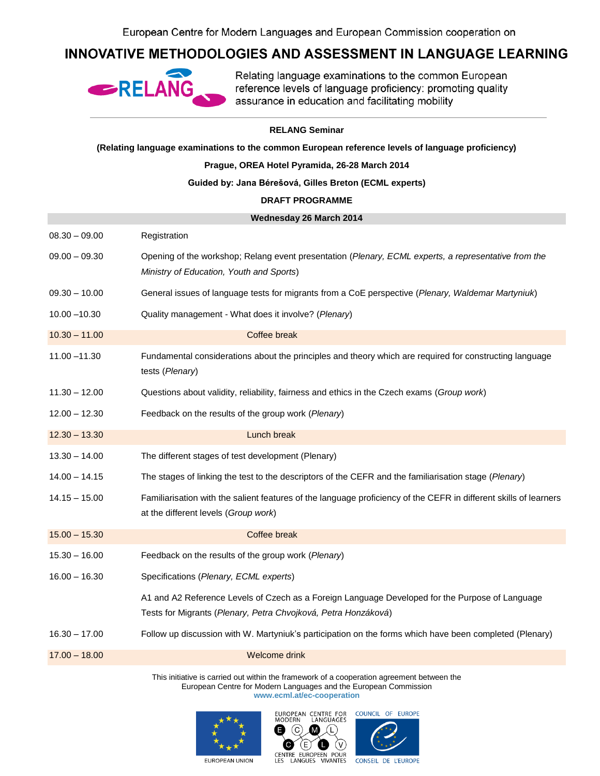## INNOVATIVE METHODOLOGIES AND ASSESSMENT IN LANGUAGE LEARNING



Relating language examinations to the common European reference levels of language proficiency: promoting quality assurance in education and facilitating mobility

## **RELANG Seminar**

**(Relating language examinations to the common European reference levels of language proficiency)**

**Prague, OREA Hotel Pyramida, 26-28 March 2014**

**Guided by: Jana Bérešová, Gilles Breton (ECML experts)**

## **DRAFT PROGRAMME**

| Wednesday 26 March 2014 |                                                                                                                                                                   |
|-------------------------|-------------------------------------------------------------------------------------------------------------------------------------------------------------------|
| $08.30 - 09.00$         | Registration                                                                                                                                                      |
| $09.00 - 09.30$         | Opening of the workshop; Relang event presentation (Plenary, ECML experts, a representative from the<br>Ministry of Education, Youth and Sports)                  |
| $09.30 - 10.00$         | General issues of language tests for migrants from a CoE perspective (Plenary, Waldemar Martyniuk)                                                                |
| $10.00 - 10.30$         | Quality management - What does it involve? (Plenary)                                                                                                              |
| $10.30 - 11.00$         | Coffee break                                                                                                                                                      |
| $11.00 - 11.30$         | Fundamental considerations about the principles and theory which are required for constructing language<br>tests (Plenary)                                        |
| $11.30 - 12.00$         | Questions about validity, reliability, fairness and ethics in the Czech exams (Group work)                                                                        |
| $12.00 - 12.30$         | Feedback on the results of the group work (Plenary)                                                                                                               |
| $12.30 - 13.30$         | Lunch break                                                                                                                                                       |
| $13.30 - 14.00$         | The different stages of test development (Plenary)                                                                                                                |
| $14.00 - 14.15$         | The stages of linking the test to the descriptors of the CEFR and the familiarisation stage (Plenary)                                                             |
| $14.15 - 15.00$         | Familiarisation with the salient features of the language proficiency of the CEFR in different skills of learners<br>at the different levels (Group work)         |
| $15.00 - 15.30$         | Coffee break                                                                                                                                                      |
| $15.30 - 16.00$         | Feedback on the results of the group work (Plenary)                                                                                                               |
| $16.00 - 16.30$         | Specifications (Plenary, ECML experts)                                                                                                                            |
|                         | A1 and A2 Reference Levels of Czech as a Foreign Language Developed for the Purpose of Language<br>Tests for Migrants (Plenary, Petra Chvojková, Petra Honzáková) |
| $16.30 - 17.00$         | Follow up discussion with W. Martyniuk's participation on the forms which have been completed (Plenary)                                                           |
| $17.00 - 18.00$         | Welcome drink                                                                                                                                                     |

This initiative is carried out within the framework of a cooperation agreement between the European Centre for Modern Languages and the European Commission **www.ecml.at/ec-cooperation**







EUROPEAN UNION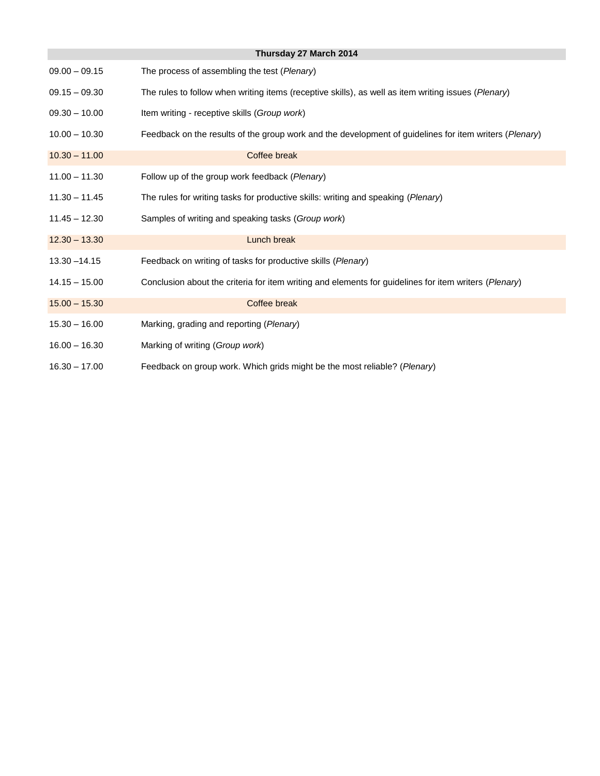| Thursday 27 March 2014 |                                                                                                        |  |
|------------------------|--------------------------------------------------------------------------------------------------------|--|
| $09.00 - 09.15$        | The process of assembling the test (Plenary)                                                           |  |
| $09.15 - 09.30$        | The rules to follow when writing items (receptive skills), as well as item writing issues (Plenary)    |  |
| $09.30 - 10.00$        | Item writing - receptive skills (Group work)                                                           |  |
| $10.00 - 10.30$        | Feedback on the results of the group work and the development of guidelines for item writers (Plenary) |  |
| $10.30 - 11.00$        | Coffee break                                                                                           |  |
| $11.00 - 11.30$        | Follow up of the group work feedback (Plenary)                                                         |  |
| $11.30 - 11.45$        | The rules for writing tasks for productive skills: writing and speaking (Plenary)                      |  |
| $11.45 - 12.30$        | Samples of writing and speaking tasks (Group work)                                                     |  |
| $12.30 - 13.30$        | Lunch break                                                                                            |  |
| $13.30 - 14.15$        | Feedback on writing of tasks for productive skills (Plenary)                                           |  |
| $14.15 - 15.00$        | Conclusion about the criteria for item writing and elements for guidelines for item writers (Plenary)  |  |
| $15.00 - 15.30$        | Coffee break                                                                                           |  |
| $15.30 - 16.00$        | Marking, grading and reporting (Plenary)                                                               |  |
| $16.00 - 16.30$        | Marking of writing (Group work)                                                                        |  |
| $16.30 - 17.00$        | Feedback on group work. Which grids might be the most reliable? (Plenary)                              |  |